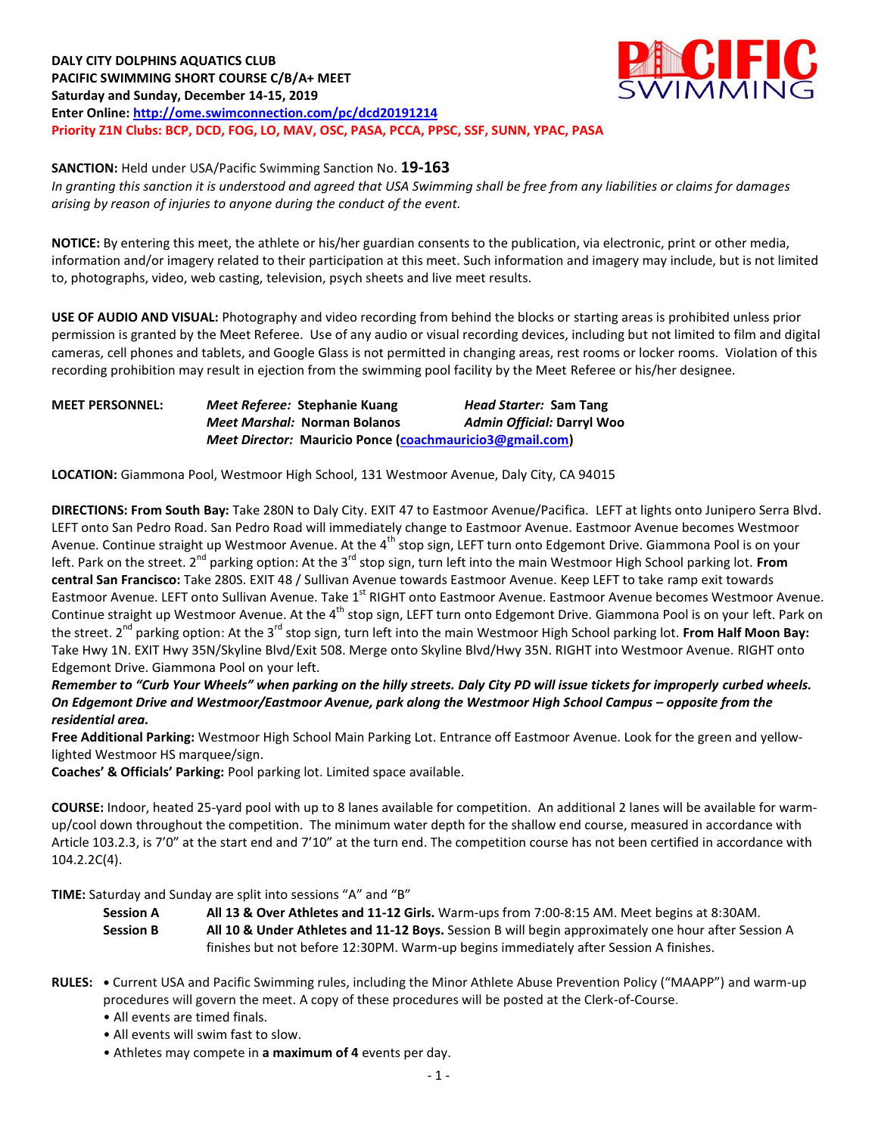**DALY CITY DOLPHINS AQUATICS CLUB PACIFIC SWIMMING SHORT COURSE C/B/A+ MEET Saturday and Sunday, December 14-15, 2019 Enter Online: <http://ome.swimconnection.com/pc/dcd20191214> Priority Z1N Clubs: BCP, DCD, FOG, LO, MAV, OSC, PASA, PCCA, PPSC, SSF, SUNN, YPAC, PASA** 



**SANCTION:** Held under USA/Pacific Swimming Sanction No. **19-163**

*In granting this sanction it is understood and agreed that USA Swimming shall be free from any liabilities or claims for damages arising by reason of injuries to anyone during the conduct of the event.* 

**NOTICE:** By entering this meet, the athlete or his/her guardian consents to the publication, via electronic, print or other media, information and/or imagery related to their participation at this meet. Such information and imagery may include, but is not limited to, photographs, video, web casting, television, psych sheets and live meet results.

**USE OF AUDIO AND VISUAL:** Photography and video recording from behind the blocks or starting areas is prohibited unless prior permission is granted by the Meet Referee. Use of any audio or visual recording devices, including but not limited to film and digital cameras, cell phones and tablets, and Google Glass is not permitted in changing areas, rest rooms or locker rooms. Violation of this recording prohibition may result in ejection from the swimming pool facility by the Meet Referee or his/her designee.

**MEET PERSONNEL:** *Meet Referee:* **Stephanie Kuang** *Head Starter:* **Sam Tang** *Meet Marshal:* **Norman Bolanos** *Admin Official:* **Darryl Woo** *Meet Director:* **Mauricio Ponce [\(coachmauricio3@gmail.com\)](mailto:coachmauricio3@gmail.com)**

**LOCATION:** Giammona Pool, Westmoor High School, 131 Westmoor Avenue, Daly City, CA 94015

**DIRECTIONS: From South Bay:** Take 280N to Daly City. EXIT 47 to Eastmoor Avenue/Pacifica. LEFT at lights onto Junipero Serra Blvd. LEFT onto San Pedro Road. San Pedro Road will immediately change to Eastmoor Avenue. Eastmoor Avenue becomes Westmoor Avenue. Continue straight up Westmoor Avenue. At the 4<sup>th</sup> stop sign, LEFT turn onto Edgemont Drive. Giammona Pool is on your left. Park on the street. 2<sup>nd</sup> parking option: At the 3<sup>rd</sup> stop sign, turn left into the main Westmoor High School parking lot. **From central San Francisco:** Take 280S. EXIT 48 / Sullivan Avenue towards Eastmoor Avenue. Keep LEFT to take ramp exit towards Eastmoor Avenue. LEFT onto Sullivan Avenue. Take 1<sup>st</sup> RIGHT onto Eastmoor Avenue. Eastmoor Avenue becomes Westmoor Avenue. Continue straight up Westmoor Avenue. At the 4<sup>th</sup> stop sign, LEFT turn onto Edgemont Drive. Giammona Pool is on your left. Park on the street. 2<sup>nd</sup> parking option: At the 3<sup>rd</sup> stop sign, turn left into the main Westmoor High School parking lot. From Half Moon Bay: Take Hwy 1N. EXIT Hwy 35N/Skyline Blvd/Exit 508. Merge onto Skyline Blvd/Hwy 35N. RIGHT into Westmoor Avenue. RIGHT onto Edgemont Drive. Giammona Pool on your left.

*Remember to "Curb Your Wheels" when parking on the hilly streets. Daly City PD will issue tickets for improperly curbed wheels. On Edgemont Drive and Westmoor/Eastmoor Avenue, park along the Westmoor High School Campus – opposite from the residential area.*

**Free Additional Parking:** Westmoor High School Main Parking Lot. Entrance off Eastmoor Avenue. Look for the green and yellowlighted Westmoor HS marquee/sign.

**Coaches' & Officials' Parking:** Pool parking lot. Limited space available.

**COURSE:** Indoor, heated 25-yard pool with up to 8 lanes available for competition. An additional 2 lanes will be available for warmup/cool down throughout the competition. The minimum water depth for the shallow end course, measured in accordance with Article 103.2.3, is 7'0" at the start end and 7'10" at the turn end. The competition course has not been certified in accordance with 104.2.2C(4).

**TIME:** Saturday and Sunday are split into sessions "A" and "B"

**Session A All 13 & Over Athletes and 11-12 Girls.** Warm-ups from 7:00-8:15 AM. Meet begins at 8:30AM. **Session B All 10 & Under Athletes and 11-12 Boys.** Session B will begin approximately one hour after Session A finishes but not before 12:30PM. Warm-up begins immediately after Session A finishes.

- **RULES: •** Current USA and Pacific Swimming rules, including the Minor Athlete Abuse Prevention Policy ("MAAPP") and warm-up procedures will govern the meet. A copy of these procedures will be posted at the Clerk-of-Course.
	- All events are timed finals.
	- All events will swim fast to slow.
	- Athletes may compete in **a maximum of 4** events per day.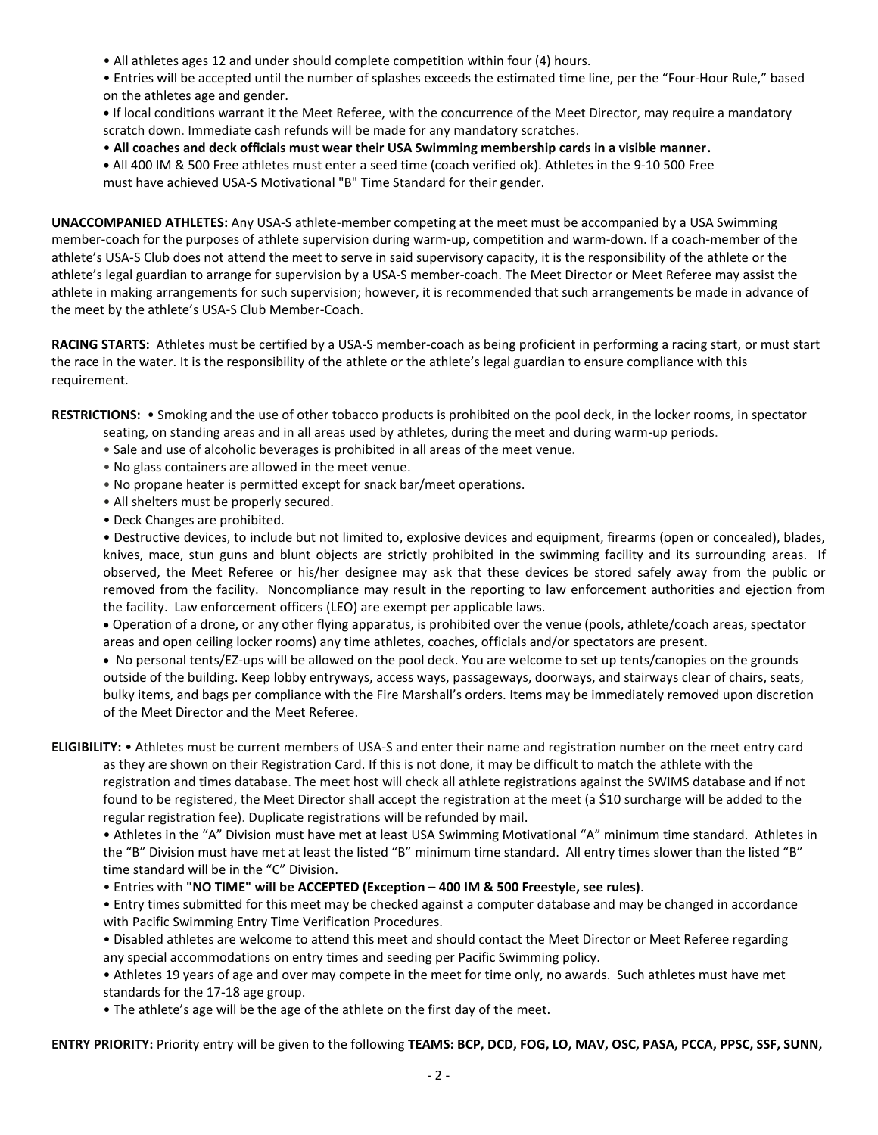• All athletes ages 12 and under should complete competition within four (4) hours.

• Entries will be accepted until the number of splashes exceeds the estimated time line, per the "Four-Hour Rule," based on the athletes age and gender.

**•** If local conditions warrant it the Meet Referee, with the concurrence of the Meet Director, may require a mandatory scratch down. Immediate cash refunds will be made for any mandatory scratches.

• **All coaches and deck officials must wear their USA Swimming membership cards in a visible manner.** 

**•** All 400 IM & 500 Free athletes must enter a seed time (coach verified ok). Athletes in the 9-10 500 Free must have achieved USA-S Motivational "B" Time Standard for their gender.

**UNACCOMPANIED ATHLETES:** Any USA-S athlete-member competing at the meet must be accompanied by a USA Swimming member-coach for the purposes of athlete supervision during warm-up, competition and warm-down. If a coach-member of the athlete's USA-S Club does not attend the meet to serve in said supervisory capacity, it is the responsibility of the athlete or the athlete's legal guardian to arrange for supervision by a USA-S member-coach. The Meet Director or Meet Referee may assist the athlete in making arrangements for such supervision; however, it is recommended that such arrangements be made in advance of the meet by the athlete's USA-S Club Member-Coach.

**RACING STARTS:** Athletes must be certified by a USA-S member-coach as being proficient in performing a racing start, or must start the race in the water. It is the responsibility of the athlete or the athlete's legal guardian to ensure compliance with this requirement.

**RESTRICTIONS:** • Smoking and the use of other tobacco products is prohibited on the pool deck, in the locker rooms, in spectator seating, on standing areas and in all areas used by athletes, during the meet and during warm-up periods.

- Sale and use of alcoholic beverages is prohibited in all areas of the meet venue.
- No glass containers are allowed in the meet venue.
- No propane heater is permitted except for snack bar/meet operations.
- All shelters must be properly secured.
- Deck Changes are prohibited.

• Destructive devices, to include but not limited to, explosive devices and equipment, firearms (open or concealed), blades, knives, mace, stun guns and blunt objects are strictly prohibited in the swimming facility and its surrounding areas. If observed, the Meet Referee or his/her designee may ask that these devices be stored safely away from the public or removed from the facility. Noncompliance may result in the reporting to law enforcement authorities and ejection from the facility. Law enforcement officers (LEO) are exempt per applicable laws.

 Operation of a drone, or any other flying apparatus, is prohibited over the venue (pools, athlete/coach areas, spectator areas and open ceiling locker rooms) any time athletes, coaches, officials and/or spectators are present.

 No personal tents/EZ-ups will be allowed on the pool deck. You are welcome to set up tents/canopies on the grounds outside of the building. Keep lobby entryways, access ways, passageways, doorways, and stairways clear of chairs, seats, bulky items, and bags per compliance with the Fire Marshall's orders. Items may be immediately removed upon discretion of the Meet Director and the Meet Referee.

**ELIGIBILITY:** • Athletes must be current members of USA-S and enter their name and registration number on the meet entry card as they are shown on their Registration Card. If this is not done, it may be difficult to match the athlete with the registration and times database. The meet host will check all athlete registrations against the SWIMS database and if not found to be registered, the Meet Director shall accept the registration at the meet (a \$10 surcharge will be added to the regular registration fee). Duplicate registrations will be refunded by mail.

• Athletes in the "A" Division must have met at least USA Swimming Motivational "A" minimum time standard. Athletes in the "B" Division must have met at least the listed "B" minimum time standard. All entry times slower than the listed "B" time standard will be in the "C" Division.

• Entries with **"NO TIME" will be ACCEPTED (Exception – 400 IM & 500 Freestyle, see rules)**.

• Entry times submitted for this meet may be checked against a computer database and may be changed in accordance with Pacific Swimming Entry Time Verification Procedures.

• Disabled athletes are welcome to attend this meet and should contact the Meet Director or Meet Referee regarding any special accommodations on entry times and seeding per Pacific Swimming policy.

• Athletes 19 years of age and over may compete in the meet for time only, no awards. Such athletes must have met standards for the 17-18 age group.

• The athlete's age will be the age of the athlete on the first day of the meet.

**ENTRY PRIORITY:** Priority entry will be given to the following **TEAMS: BCP, DCD, FOG, LO, MAV, OSC, PASA, PCCA, PPSC, SSF, SUNN,**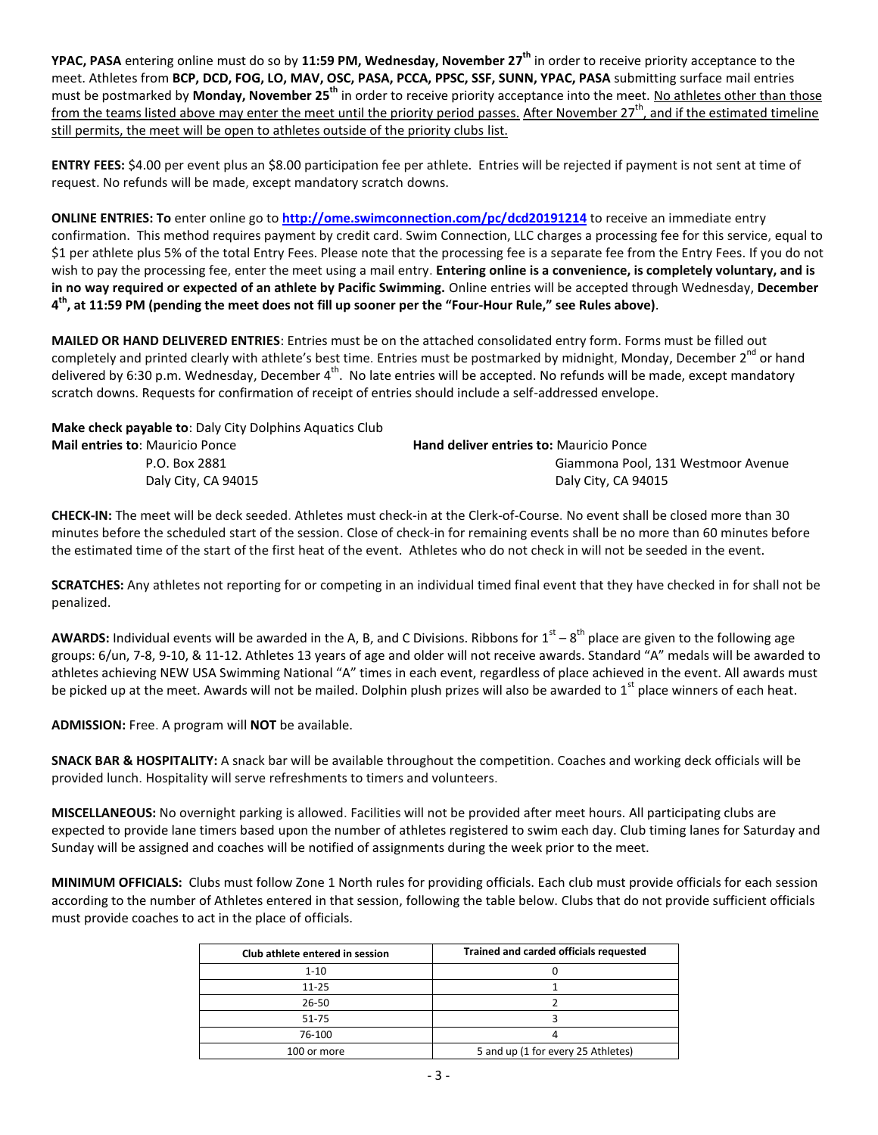**YPAC, PASA** entering online must do so by **11:59 PM, Wednesday, November 27 th** in order to receive priority acceptance to the meet. Athletes from **BCP, DCD, FOG, LO, MAV, OSC, PASA, PCCA, PPSC, SSF, SUNN, YPAC, PASA** submitting surface mail entries must be postmarked by **Monday, November 25th** in order to receive priority acceptance into the meet. No athletes other than those from the teams listed above may enter the meet until the priority period passes. After November 27<sup>th</sup>, and if the estimated timeline still permits, the meet will be open to athletes outside of the priority clubs list.

**ENTRY FEES:** \$4.00 per event plus an \$8.00 participation fee per athlete. Entries will be rejected if payment is not sent at time of request. No refunds will be made, except mandatory scratch downs.

**ONLINE ENTRIES: To** enter online go to **<http://ome.swimconnection.com/pc/dcd20191214>** to receive an immediate entry confirmation. This method requires payment by credit card. Swim Connection, LLC charges a processing fee for this service, equal to \$1 per athlete plus 5% of the total Entry Fees. Please note that the processing fee is a separate fee from the Entry Fees. If you do not wish to pay the processing fee, enter the meet using a mail entry. **Entering online is a convenience, is completely voluntary, and is in no way required or expected of an athlete by Pacific Swimming.** Online entries will be accepted through Wednesday, **December 4 th, at 11:59 PM (pending the meet does not fill up sooner per the "Four-Hour Rule," see Rules above)**.

**MAILED OR HAND DELIVERED ENTRIES**: Entries must be on the attached consolidated entry form. Forms must be filled out completely and printed clearly with athlete's best time. Entries must be postmarked by midnight, Monday, December 2<sup>nd</sup> or hand delivered by 6:30 p.m. Wednesday, December 4<sup>th</sup>. No late entries will be accepted. No refunds will be made, except mandatory scratch downs. Requests for confirmation of receipt of entries should include a self-addressed envelope.

**Make check payable to**: Daly City Dolphins Aquatics Club

| <b>Mail entries to: Mauricio Ponce</b> | <b>Hand deliver entries to: Mauricio Ponce</b> |
|----------------------------------------|------------------------------------------------|
| P.O. Box 2881                          | Giammona Pool, 131 Westmoor Avenue             |
| Daly City, CA 94015                    | Daly City, CA 94015                            |

**CHECK-IN:** The meet will be deck seeded. Athletes must check-in at the Clerk-of-Course. No event shall be closed more than 30 minutes before the scheduled start of the session. Close of check-in for remaining events shall be no more than 60 minutes before the estimated time of the start of the first heat of the event. Athletes who do not check in will not be seeded in the event.

**SCRATCHES:** Any athletes not reporting for or competing in an individual timed final event that they have checked in for shall not be penalized.

AWARDS: Individual events will be awarded in the A, B, and C Divisions. Ribbons for 1<sup>st</sup> – 8<sup>th</sup> place are given to the following age groups: 6/un, 7-8, 9-10, & 11-12. Athletes 13 years of age and older will not receive awards. Standard "A" medals will be awarded to athletes achieving NEW USA Swimming National "A" times in each event, regardless of place achieved in the event. All awards must be picked up at the meet. Awards will not be mailed. Dolphin plush prizes will also be awarded to  $1<sup>st</sup>$  place winners of each heat.

**ADMISSION:** Free. A program will **NOT** be available.

**SNACK BAR & HOSPITALITY:** A snack bar will be available throughout the competition. Coaches and working deck officials will be provided lunch. Hospitality will serve refreshments to timers and volunteers.

**MISCELLANEOUS:** No overnight parking is allowed. Facilities will not be provided after meet hours. All participating clubs are expected to provide lane timers based upon the number of athletes registered to swim each day. Club timing lanes for Saturday and Sunday will be assigned and coaches will be notified of assignments during the week prior to the meet.

**MINIMUM OFFICIALS:** Clubs must follow Zone 1 North rules for providing officials. Each club must provide officials for each session according to the number of Athletes entered in that session, following the table below. Clubs that do not provide sufficient officials must provide coaches to act in the place of officials.

| Club athlete entered in session | Trained and carded officials requested |  |  |  |  |  |
|---------------------------------|----------------------------------------|--|--|--|--|--|
| $1 - 10$                        |                                        |  |  |  |  |  |
| $11 - 25$                       |                                        |  |  |  |  |  |
| 26-50                           |                                        |  |  |  |  |  |
| 51-75                           |                                        |  |  |  |  |  |
| 76-100                          |                                        |  |  |  |  |  |
| 100 or more                     | 5 and up (1 for every 25 Athletes)     |  |  |  |  |  |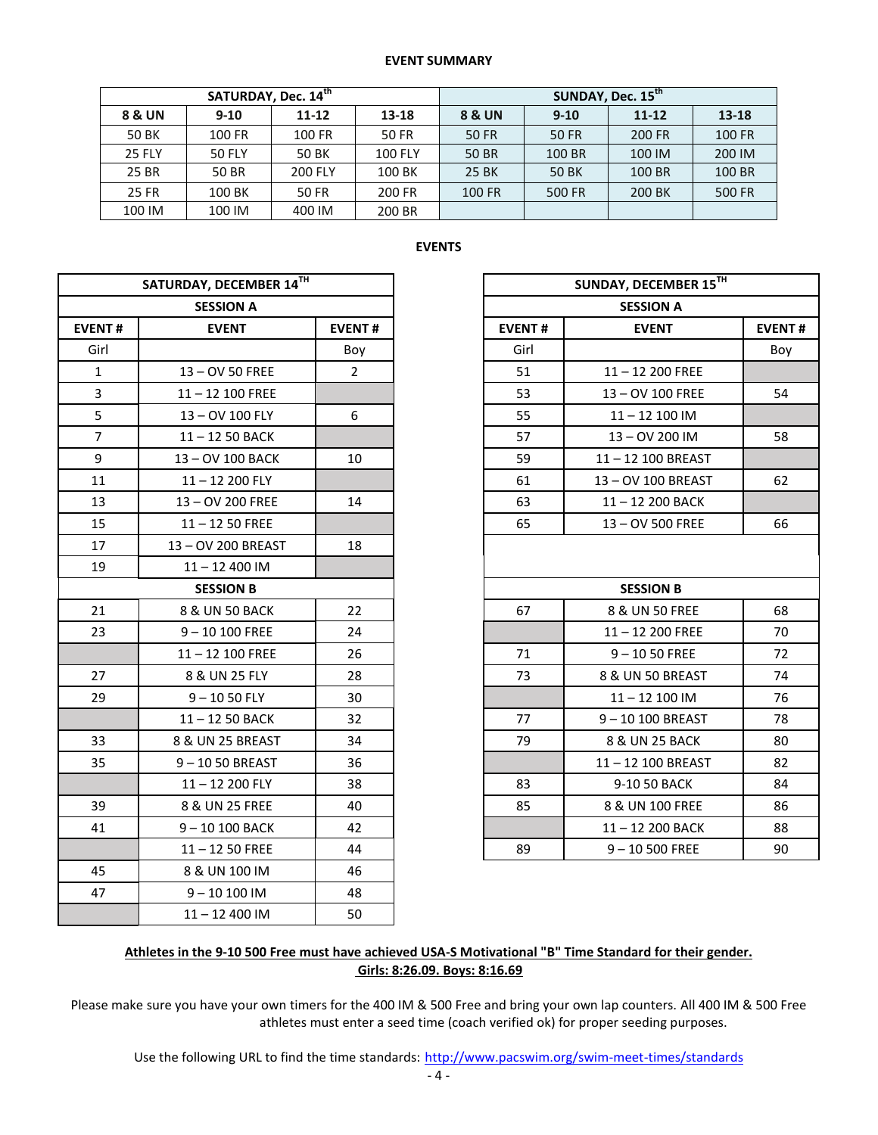## **EVENT SUMMARY**

|               | SATURDAY, Dec. 14 <sup>th</sup> |                |                | SUNDAY, Dec. 15 <sup>th</sup> |        |           |         |  |  |
|---------------|---------------------------------|----------------|----------------|-------------------------------|--------|-----------|---------|--|--|
| 8 & UN        | $9-10$                          | $11 - 12$      | $13 - 18$      | 8 & UN                        | $9-10$ | $11 - 12$ | $13-18$ |  |  |
| 50 BK         | 100 FR                          | 100 FR         | 50 FR          | 50 FR                         | 50 FR  | 200 FR    | 100 FR  |  |  |
| <b>25 FLY</b> | <b>50 FLY</b>                   | 50 BK          | <b>100 FLY</b> | 50 BR                         | 100 BR | 100 IM    | 200 IM  |  |  |
| 25 BR         | 50 BR                           | <b>200 FLY</b> | 100 BK         | 25 BK                         | 50 BK  | 100 BR    | 100 BR  |  |  |
| <b>25 FR</b>  | 100 BK                          | 50 FR          | 200 FR         | <b>100 FR</b>                 | 500 FR | 200 BK    | 500 FR  |  |  |
| 100 IM        | 100 IM                          | 400 IM         | 200 BR         |                               |        |           |         |  |  |

|                | SATURDAY, DECEMBER 14TH |               |               | SUNDAY, DECEMBER 15TH |               |
|----------------|-------------------------|---------------|---------------|-----------------------|---------------|
|                | <b>SESSION A</b>        |               |               | <b>SESSION A</b>      |               |
| <b>EVENT#</b>  | <b>EVENT</b>            | <b>EVENT#</b> | <b>EVENT#</b> | <b>EVENT</b>          | <b>EVENT#</b> |
| Girl           |                         | Boy           | Girl          |                       | Boy           |
| $\mathbf{1}$   | 13-OV 50 FREE           | $\mathbf{2}$  | 51            | 11-12 200 FREE        |               |
| 3              | 11-12 100 FREE          |               | 53            | 13-OV 100 FREE        | 54            |
| 5              | 13 - OV 100 FLY         | 6             | 55            | $11 - 12$ 100 IM      |               |
| $\overline{7}$ | 11-12 50 BACK           |               | 57            | 13-OV 200 IM          | 58            |
| 9              | 13-OV 100 BACK          | 10            | 59            | 11-12 100 BREAST      |               |
| 11             | 11-12 200 FLY           |               | 61            | 13-OV 100 BREAST      | 62            |
| 13             | 13 - OV 200 FREE        | 14            | 63            | 11-12 200 BACK        |               |
| 15             | $11 - 1250$ FREE        |               | 65            | 13-OV 500 FREE        | 66            |
| 17             | 13-OV 200 BREAST        | 18            |               |                       |               |
| 19             | $11 - 12400$ IM         |               |               |                       |               |
|                | <b>SESSION B</b>        |               |               | <b>SESSION B</b>      |               |
| 21             | 8 & UN 50 BACK          | 22            | 67            | 8 & UN 50 FREE        | 68            |
| 23             | $9 - 10 100$ FREE       | 24            |               | $11 - 12200$ FREE     | 70            |
|                | $11 - 12$ 100 FREE      | 26            | 71            | $9 - 1050$ FREE       | 72            |
| 27             | 8 & UN 25 FLY           | 28            | 73            | 8 & UN 50 BREAST      | 74            |
| 29             | $9 - 1050$ FLY          | 30            |               | $11 - 12$ 100 IM      | 76            |
|                | 11-12 50 BACK           | 32            | 77            | 9-10 100 BREAST       | 78            |
| 33             | 8 & UN 25 BREAST        | 34            | 79            | 8 & UN 25 BACK        | 80            |
| 35             | 9-1050 BREAST           | 36            |               | 11-12 100 BREAST      | 82            |
|                | 11-12 200 FLY           | 38            | 83            | 9-10 50 BACK          | 84            |
| 39             | 8 & UN 25 FREE          | 40            | 85            | 8 & UN 100 FREE       | 86            |
| 41             | 9-10 100 BACK           | 42            |               | 11-12 200 BACK        | 88            |
|                | $11 - 1250$ FREE        | 44            | 89            | $9 - 10500$ FREE      | 90            |
| 45             | 8 & UN 100 IM           | 46            |               |                       |               |
| 47             | $9 - 10100$ IM          | 48            |               |                       |               |
|                | $11 - 12400$ IM         | 50            |               |                       |               |

## **EVENTS**

|                             | SATURDAY, DECEMBER 14TH |                |               | SUNDAY, DECEMBER 15TH |               |
|-----------------------------|-------------------------|----------------|---------------|-----------------------|---------------|
|                             | <b>SESSION A</b>        |                |               | <b>SESSION A</b>      |               |
| NT#                         | <b>EVENT</b>            | <b>EVENT#</b>  | <b>EVENT#</b> | <b>EVENT</b>          | <b>EVENT#</b> |
| iirl                        |                         | Boy            | Girl          |                       | Boy           |
| $\mathbf{1}$                | 13-OV 50 FREE           | $\overline{2}$ | 51            | $11 - 12$ 200 FREE    |               |
| $\frac{3}{5}$ $\frac{5}{7}$ | $11 - 12$ 100 FREE      |                | 53            | 13-OV 100 FREE        | 54            |
|                             | 13 - OV 100 FLY         | 6              | 55            | $11 - 12$ 100 IM      |               |
|                             | 11-12 50 BACK           |                | 57            | 13-OV 200 IM          | 58            |
| $\overline{9}$              | 13 - OV 100 BACK        | 10             | 59            | 11-12 100 BREAST      |               |
| $\overline{11}$             | $11 - 12200$ FLY        |                | 61            | 13-OV 100 BREAST      | 62            |
| L3                          | 13-OV 200 FREE          | 14             | 63            | 11-12 200 BACK        |               |
| L5                          | $11 - 1250$ FREE        |                | 65            | 13-OV 500 FREE        | 66            |
| L7                          | 13-OV 200 BREAST        | 18             |               |                       |               |
| L9                          | $11 - 12400$ IM         |                |               |                       |               |
|                             | <b>SESSION B</b>        |                |               | <b>SESSION B</b>      |               |
| 21                          | 8 & UN 50 BACK          | 22             | 67            | 8 & UN 50 FREE        | 68            |
| $^{23}$                     | $9 - 10100$ FREE        | 24             |               | $11 - 12200$ FREE     | 70            |
|                             | $11 - 12$ 100 FREE      | 26             | 71            | $9 - 1050$ FREE       | 72            |
| 27                          | 8 & UN 25 FLY           | 28             | 73            | 8 & UN 50 BREAST      | 74            |
| 29                          | $9 - 1050$ FLY          | 30             |               | $11 - 12100$ IM       | 76            |
|                             | 11-12 50 BACK           | 32             | 77            | 9-10 100 BREAST       | 78            |
| 33 <sup>2</sup>             | 8 & UN 25 BREAST        | 34             | 79            | 8 & UN 25 BACK        | 80            |
| 35 <sub>1</sub>             | $9 - 1050$ BREAST       | 36             |               | 11-12 100 BREAST      | 82            |
|                             | 11-12 200 FLY           | 38             | 83            | 9-10 50 BACK          | 84            |
| 39                          | 8 & UN 25 FREE          | 40             | 85            | 8 & UN 100 FREE       | 86            |
| $\overline{11}$             | 9-10 100 BACK           | 42             |               | 11-12 200 BACK        | 88            |
|                             | $11 - 1250$ FREE        | 44             | 89            | $9 - 10500$ FREE      | 90            |

## **Athletes in the 9-10 500 Free must have achieved USA-S Motivational "B" Time Standard for their gender. Girls: 8:26.09. Boys: 8:16.69**

Please make sure you have your own timers for the 400 IM & 500 Free and bring your own lap counters. All 400 IM & 500 Free athletes must enter a seed time (coach verified ok) for proper seeding purposes.

Use the following URL to find the time standards: <http://www.pacswim.org/swim-meet-times/standards>